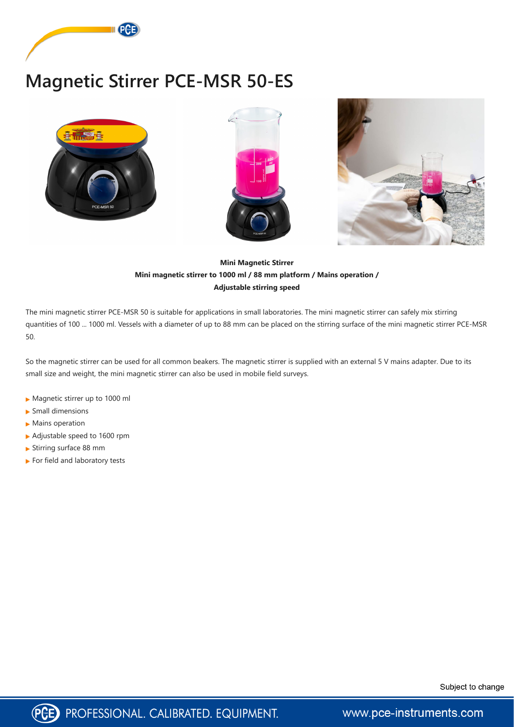

## **Magnetic Stirrer PCE-MSR 50-ES**







## **Mini Magnetic Stirrer Mini magnetic stirrer to 1000 ml / 88 mm platform / Mains operation / Adjustable stirring speed**

The mini magnetic stirrer PCE-MSR 50 is suitable for applications in small laboratories. The mini magnetic stirrer can safely mix stirring quantities of 100 ... 1000 ml. Vessels with a diameter of up to 88 mm can be placed on the stirring surface of the mini magnetic stirrer PCE-MSR 50.

So the magnetic stirrer can be used for all common beakers. The magnetic stirrer is supplied with an external 5 V mains adapter. Due to its small size and weight, the mini magnetic stirrer can also be used in mobile field surveys.

- Magnetic stirrer up to 1000 ml
- Small dimensions
- **Mains operation**
- Adjustable speed to 1600 rpm
- Stirring surface 88 mm
- For field and laboratory tests





www.pce-instruments.com